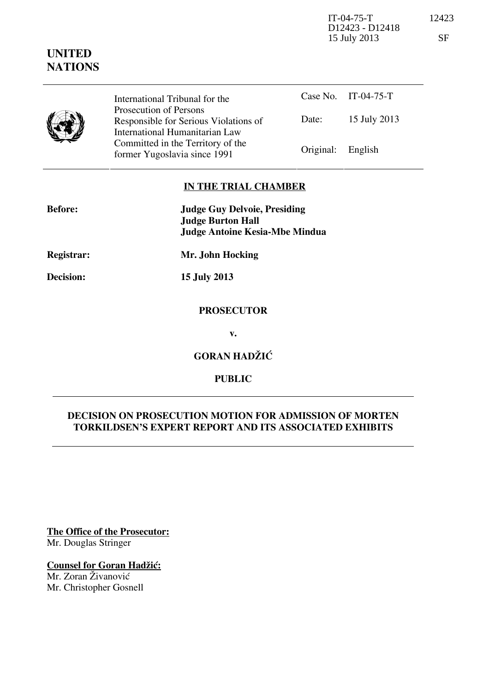IT-04-75-T 12423 D12423 - D12418 15 July 2013 SF

|  | International Tribunal for the                                                                    |                   | Case No. IT-04-75-T |
|--|---------------------------------------------------------------------------------------------------|-------------------|---------------------|
|  | Prosecution of Persons<br>Responsible for Serious Violations of<br>International Humanitarian Law | Date:             | 15 July 2013        |
|  | Committed in the Territory of the<br>former Yugoslavia since 1991                                 | Original: English |                     |

# **IN THE TRIAL CHAMBER**

| <b>Before:</b>    | <b>Judge Guy Delvoie, Presiding</b><br><b>Judge Burton Hall</b><br><b>Judge Antoine Kesia-Mbe Mindua</b> |
|-------------------|----------------------------------------------------------------------------------------------------------|
| <b>Registrar:</b> | Mr. John Hocking                                                                                         |
| Decision:         | <b>15 July 2013</b>                                                                                      |
|                   | <b>PROSECUTOR</b>                                                                                        |
|                   | v.                                                                                                       |
|                   | <b>GORAN HADŽIĆ</b>                                                                                      |

**PUBLIC** 

# **DECISION ON PROSECUTION MOTION FOR ADMISSION OF MORTEN TORKILDSEN'S EXPERT REPORT AND ITS ASSOCIATED EXHIBITS**

**The Office of the Prosecutor:** Mr. Douglas Stringer

# **Counsel for Goran Hadžić:**

Mr. Zoran Živanović Mr. Christopher Gosnell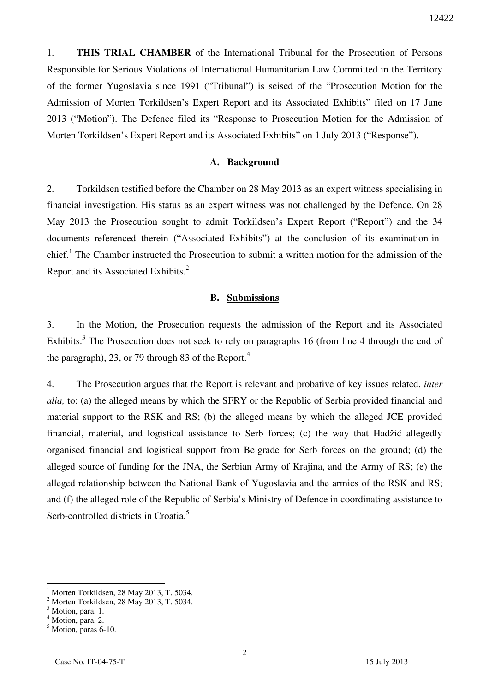1. **THIS TRIAL CHAMBER** of the International Tribunal for the Prosecution of Persons Responsible for Serious Violations of International Humanitarian Law Committed in the Territory of the former Yugoslavia since 1991 ("Tribunal") is seised of the "Prosecution Motion for the Admission of Morten Torkildsen's Expert Report and its Associated Exhibits" filed on 17 June 2013 ("Motion"). The Defence filed its "Response to Prosecution Motion for the Admission of Morten Torkildsen's Expert Report and its Associated Exhibits" on 1 July 2013 ("Response").

#### **A. Background**

2. Torkildsen testified before the Chamber on 28 May 2013 as an expert witness specialising in financial investigation. His status as an expert witness was not challenged by the Defence. On 28 May 2013 the Prosecution sought to admit Torkildsen's Expert Report ("Report") and the 34 documents referenced therein ("Associated Exhibits") at the conclusion of its examination-inchief.<sup>1</sup> The Chamber instructed the Prosecution to submit a written motion for the admission of the Report and its Associated Exhibits.<sup>2</sup>

#### **B. Submissions**

3. In the Motion, the Prosecution requests the admission of the Report and its Associated Exhibits.<sup>3</sup> The Prosecution does not seek to rely on paragraphs 16 (from line 4 through the end of the paragraph), 23, or 79 through 83 of the Report.<sup>4</sup>

4. The Prosecution argues that the Report is relevant and probative of key issues related, *inter alia,* to: (a) the alleged means by which the SFRY or the Republic of Serbia provided financial and material support to the RSK and RS; (b) the alleged means by which the alleged JCE provided financial, material, and logistical assistance to Serb forces; (c) the way that Hadžić allegedly organised financial and logistical support from Belgrade for Serb forces on the ground; (d) the alleged source of funding for the JNA, the Serbian Army of Krajina, and the Army of RS; (e) the alleged relationship between the National Bank of Yugoslavia and the armies of the RSK and RS; and (f) the alleged role of the Republic of Serbia's Ministry of Defence in coordinating assistance to Serb-controlled districts in Croatia.<sup>5</sup>

<sup>1</sup> Morten Torkildsen, 28 May 2013, T. 5034.

 $<sup>2</sup>$  Morten Torkildsen, 28 May 2013, T. 5034.</sup>

<sup>&</sup>lt;sup>3</sup> Motion, para. 1.

<sup>&</sup>lt;sup>4</sup> Motion, para. 2.

<sup>5</sup> Motion, paras 6-10.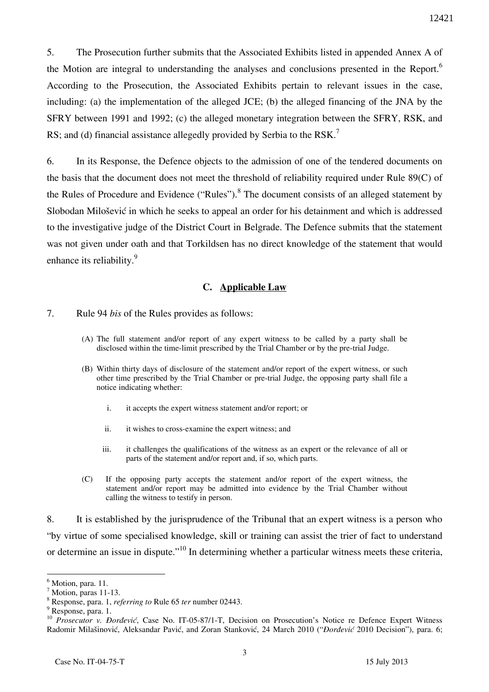5. The Prosecution further submits that the Associated Exhibits listed in appended Annex A of the Motion are integral to understanding the analyses and conclusions presented in the Report.<sup>6</sup> According to the Prosecution, the Associated Exhibits pertain to relevant issues in the case, including: (a) the implementation of the alleged JCE; (b) the alleged financing of the JNA by the SFRY between 1991 and 1992; (c) the alleged monetary integration between the SFRY, RSK, and RS; and (d) financial assistance allegedly provided by Serbia to the RSK.<sup>7</sup>

6. In its Response, the Defence objects to the admission of one of the tendered documents on the basis that the document does not meet the threshold of reliability required under Rule 89(C) of the Rules of Procedure and Evidence ("Rules"). $8$  The document consists of an alleged statement by Slobodan Milošević in which he seeks to appeal an order for his detainment and which is addressed to the investigative judge of the District Court in Belgrade. The Defence submits that the statement was not given under oath and that Torkildsen has no direct knowledge of the statement that would enhance its reliability.<sup>9</sup>

## **C. Applicable Law**

- 7. Rule 94 *bis* of the Rules provides as follows:
	- (A) The full statement and/or report of any expert witness to be called by a party shall be disclosed within the time-limit prescribed by the Trial Chamber or by the pre-trial Judge.
	- (B) Within thirty days of disclosure of the statement and/or report of the expert witness, or such other time prescribed by the Trial Chamber or pre-trial Judge, the opposing party shall file a notice indicating whether:
		- i. it accepts the expert witness statement and/or report; or
		- ii. it wishes to cross-examine the expert witness; and
		- iii. it challenges the qualifications of the witness as an expert or the relevance of all or parts of the statement and/or report and, if so, which parts.
	- (C) If the opposing party accepts the statement and/or report of the expert witness, the statement and/or report may be admitted into evidence by the Trial Chamber without calling the witness to testify in person.

8. It is established by the jurisprudence of the Tribunal that an expert witness is a person who "by virtue of some specialised knowledge, skill or training can assist the trier of fact to understand or determine an issue in dispute."<sup>10</sup> In determining whether a particular witness meets these criteria,

 $<sup>6</sup>$  Motion, para. 11.</sup>

<sup>&</sup>lt;sup>7</sup> Motion, paras 11-13.

<sup>8</sup> Response, para. 1, *referring to* Rule 65 *ter* number 02443.

<sup>&</sup>lt;sup>9</sup> Response, para. 1.

<sup>&</sup>lt;sup>10</sup> *Prosecutor v. Đorđević*, Case No. IT-05-87/1-T, Decision on Prosecution's Notice re Defence Expert Witness Radomir Milašinović, Aleksandar Pavić, and Zoran Stanković, 24 March 2010 ("*Dordević* 2010 Decision"), para. 6;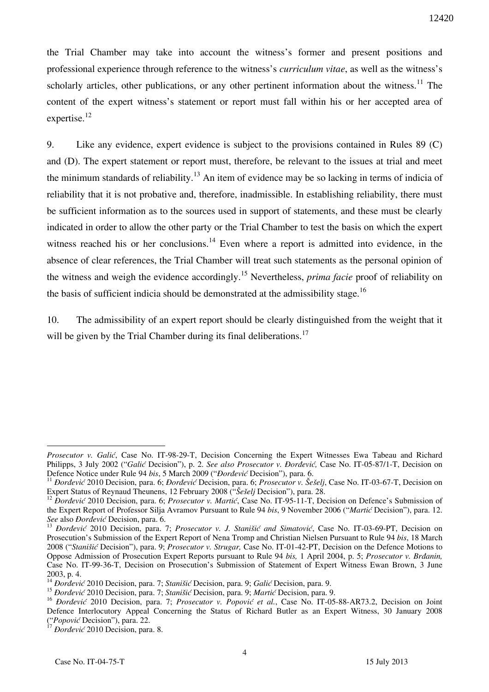the Trial Chamber may take into account the witness's former and present positions and professional experience through reference to the witness's *curriculum vitae*, as well as the witness's scholarly articles, other publications, or any other pertinent information about the witness.<sup>11</sup> The content of the expert witness's statement or report must fall within his or her accepted area of expertise.<sup>12</sup>

9. Like any evidence, expert evidence is subject to the provisions contained in Rules 89 (C) and (D). The expert statement or report must, therefore, be relevant to the issues at trial and meet the minimum standards of reliability.<sup>13</sup> An item of evidence may be so lacking in terms of indicia of reliability that it is not probative and, therefore, inadmissible. In establishing reliability, there must be sufficient information as to the sources used in support of statements, and these must be clearly indicated in order to allow the other party or the Trial Chamber to test the basis on which the expert witness reached his or her conclusions.<sup>14</sup> Even where a report is admitted into evidence, in the absence of clear references, the Trial Chamber will treat such statements as the personal opinion of the witness and weigh the evidence accordingly.<sup>15</sup> Nevertheless, *prima facie* proof of reliability on the basis of sufficient indicia should be demonstrated at the admissibility stage.<sup>16</sup>

10. The admissibility of an expert report should be clearly distinguished from the weight that it will be given by the Trial Chamber during its final deliberations.<sup>17</sup>

<u>.</u>

*Prosecutor v. Galić*, Case No. IT-98-29-T, Decision Concerning the Expert Witnesses Ewa Tabeau and Richard Philipps, 3 July 2002 ("*Galić Decision"*), p. 2. *See also Prosecutor v. Đorđević*, Case No. IT-05-87/1-T, Decision on Defence Notice under Rule 94 bis, 5 March 2009 ("*Dordević* Decision"), para. 6.

<sup>&</sup>lt;sup>11</sup> *Dordević* 2010 Decision, para. 6; *Dordević* Decision, para. 6; *Prosecutor v. Šešelj*, Case No. IT-03-67-T, Decision on Expert Status of Reynaud Theunens, 12 February 2008 ("Šešeli Decision"), para. 28.

<sup>&</sup>lt;sup>12</sup> *Dordević* 2010 Decision, para. 6; *Prosecutor v. Martić*, Case No. IT-95-11-T, Decision on Defence's Submission of the Expert Report of Professor Silia Avramov Pursuant to Rule 94 *bis*, 9 November 2006 ("*Martic* Decision"), para. 12. *See* also *Dordević* Decision, para. 6.

<sup>&</sup>lt;sup>13</sup> *Dordević* 2010 Decision, para. 7; *Prosecutor v. J. Stanišić and Simatović*, Case No. IT-03-69-PT, Decision on Prosecution's Submission of the Expert Report of Nena Tromp and Christian Nielsen Pursuant to Rule 94 *bis*, 18 March 2008 ("*Stani{i}* Decision"), para. 9; *Prosecutor v. Strugar,* Case No. IT-01-42-PT, Decision on the Defence Motions to Oppose Admission of Prosecution Expert Reports pursuant to Rule 94 *bis*, 1 April 2004, p. 5; *Prosecutor v. Brdanin,* Case No. IT-99-36-T, Decision on Prosecution's Submission of Statement of Expert Witness Ewan Brown, 3 June 2003, p. 4.

<sup>&</sup>lt;sup>14</sup> *Dordević* 2010 Decision, para. 7; *Stanišić* Decision, para. 9; *Galić* Decision, para. 9.

<sup>&</sup>lt;sup>15</sup> *Dordević* 2010 Decision, para. 7; *Stanišić* Decision, para. 9; *Martić* Decision, para. 9.

<sup>&</sup>lt;sup>16</sup> *Dordević* 2010 Decision, para. 7; *Prosecutor v. Popović et al.*, Case No. IT-05-88-AR73.2, Decision on Joint Defence Interlocutory Appeal Concerning the Status of Richard Butler as an Expert Witness, 30 January 2008 ("*Popović* Decision"), para. 22.

<sup>&</sup>lt;sup>17</sup> *Dordević* 2010 Decision, para. 8.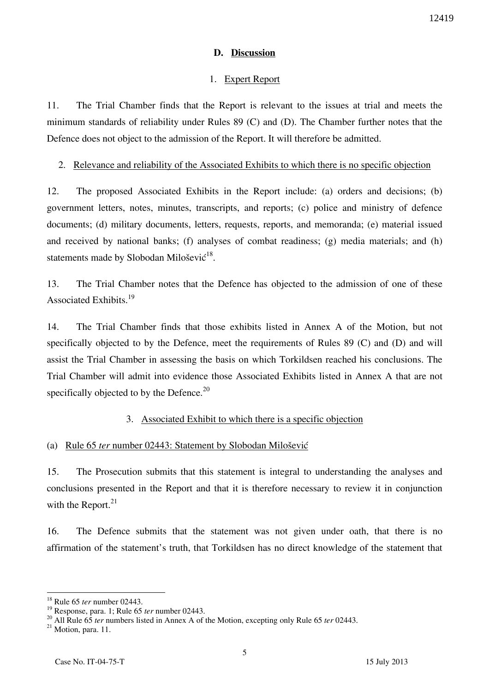#### **D. Discussion**

## 1. Expert Report

11. The Trial Chamber finds that the Report is relevant to the issues at trial and meets the minimum standards of reliability under Rules 89 (C) and (D). The Chamber further notes that the Defence does not object to the admission of the Report. It will therefore be admitted.

#### 2. Relevance and reliability of the Associated Exhibits to which there is no specific objection

12. The proposed Associated Exhibits in the Report include: (a) orders and decisions; (b) government letters, notes, minutes, transcripts, and reports; (c) police and ministry of defence documents; (d) military documents, letters, requests, reports, and memoranda; (e) material issued and received by national banks; (f) analyses of combat readiness; (g) media materials; and (h) statements made by Slobodan Milošević $^{18}$ .

13. The Trial Chamber notes that the Defence has objected to the admission of one of these Associated Exhibits.<sup>19</sup>

14. The Trial Chamber finds that those exhibits listed in Annex A of the Motion, but not specifically objected to by the Defence, meet the requirements of Rules 89 (C) and (D) and will assist the Trial Chamber in assessing the basis on which Torkildsen reached his conclusions. The Trial Chamber will admit into evidence those Associated Exhibits listed in Annex A that are not specifically objected to by the Defence. $^{20}$ 

# 3. Associated Exhibit to which there is a specific objection

# (a) Rule 65 *ter* number 02443: Statement by Slobodan Milošević

15. The Prosecution submits that this statement is integral to understanding the analyses and conclusions presented in the Report and that it is therefore necessary to review it in conjunction with the Report. $21$ 

16. The Defence submits that the statement was not given under oath, that there is no affirmation of the statement's truth, that Torkildsen has no direct knowledge of the statement that

<sup>18</sup> Rule 65 *ter* number 02443.

<sup>19</sup> Response, para. 1; Rule 65 *ter* number 02443.

<sup>&</sup>lt;sup>20</sup> All Rule 65 *ter* numbers listed in Annex A of the Motion, excepting only Rule 65 *ter* 02443.

<sup>&</sup>lt;sup>21</sup> Motion, para. 11.